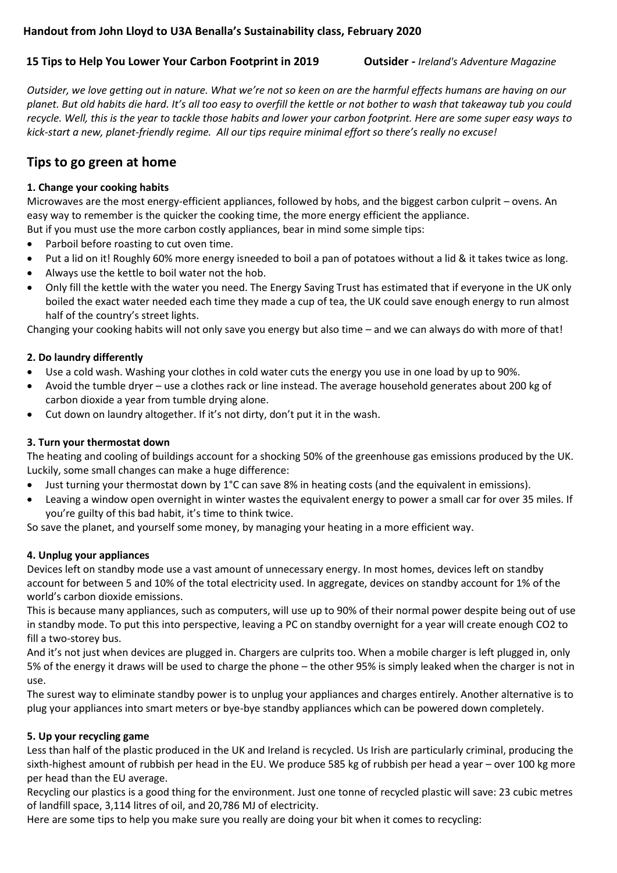# **Handout from John Lloyd to U3A Benalla's Sustainability class, February 2020**

#### **15 Tips to Help You Lower Your Carbon Footprint in 2019 Outsider -** *Ireland's Adventure Magazine*

*Outsider, we love getting out in nature. What we're not so keen on are the harmful effects humans are having on our planet. But old habits die hard. It's all too easy to overfill the kettle or not bother to wash that takeaway tub you could recycle. Well, this is the year to tackle those habits and lower your carbon footprint. Here are some super easy ways to kick-start a new, planet-friendly regime. All our tips require minimal effort so there's really no excuse!*

# **Tips to go green at home**

### **1. Change your cooking habits**

Microwaves are the most energy-efficient appliances, followed by hobs, and the biggest carbon culprit – ovens. An easy way to remember is the quicker the cooking time, the more energy efficient the appliance. But if you must use the more carbon costly appliances, bear in mind some simple tips:

- Parboil before roasting to cut oven time.
- Put a lid on it! Roughly 60% more energy isneeded to boil a pan of potatoes without a lid & it takes twice as long.
- Always use the kettle to boil water not the hob.
- Only fill the kettle with the water you need. The Energy Saving Trust has estimated that if everyone in the UK only boiled the exact water needed each time they made a cup of tea, the UK could save enough energy to run almost half of the country's street lights.

Changing your cooking habits will not only save you energy but also time – and we can always do with more of that!

## **2. Do laundry differently**

- Use a cold wash. Washing your clothes in cold water cuts the energy you use in one load by up to 90%.
- Avoid the tumble dryer use a clothes rack or line instead. The average household generates about 200 kg of carbon dioxide a year from tumble drying alone.
- Cut down on laundry altogether. If it's not dirty, don't put it in the wash.

# **3. Turn your thermostat down**

The heating and cooling of buildings account for a shocking 50% of the greenhouse gas emissions produced by the UK. Luckily, some small changes can make a huge difference:

- Just turning your thermostat down by 1°C can save 8% in heating costs (and the equivalent in emissions).
- Leaving a window open overnight in winter wastes the equivalent energy to power a small car for over 35 miles. If you're guilty of this bad habit, it's time to think twice.

So save the planet, and yourself some money, by managing your heating in a more efficient way.

### **4. Unplug your appliances**

Devices left on standby mode use a vast amount of unnecessary energy. In most homes, devices left on standby account for between 5 and 10% of the total electricity used. In aggregate, devices on standby account for 1% of the world's carbon dioxide emissions.

This is because many appliances, such as computers, will use up to 90% of their normal power despite being out of use in standby mode. To put this into perspective, leaving a PC on standby overnight for a year will create enough CO2 to fill a two-storey bus.

And it's not just when devices are plugged in. Chargers are culprits too. When a mobile charger is left plugged in, only 5% of the energy it draws will be used to charge the phone – the other 95% is simply leaked when the charger is not in use.

The surest way to eliminate standby power is to unplug your appliances and charges entirely. Another alternative is to plug your appliances into smart meters or bye-bye standby appliances which can be powered down completely.

### **5. Up your recycling game**

Less than half of the plastic produced in the UK and Ireland is recycled. Us Irish are particularly criminal, producing the sixth-highest amount of rubbish per head in the EU. We produce 585 kg of rubbish per head a year – over 100 kg more per head than the EU average.

Recycling our plastics is a good thing for the environment. Just one tonne of recycled plastic will save: 23 cubic metres of landfill space, 3,114 litres of oil, and 20,786 MJ of electricity.

Here are some tips to help you make sure you really are doing your bit when it comes to recycling: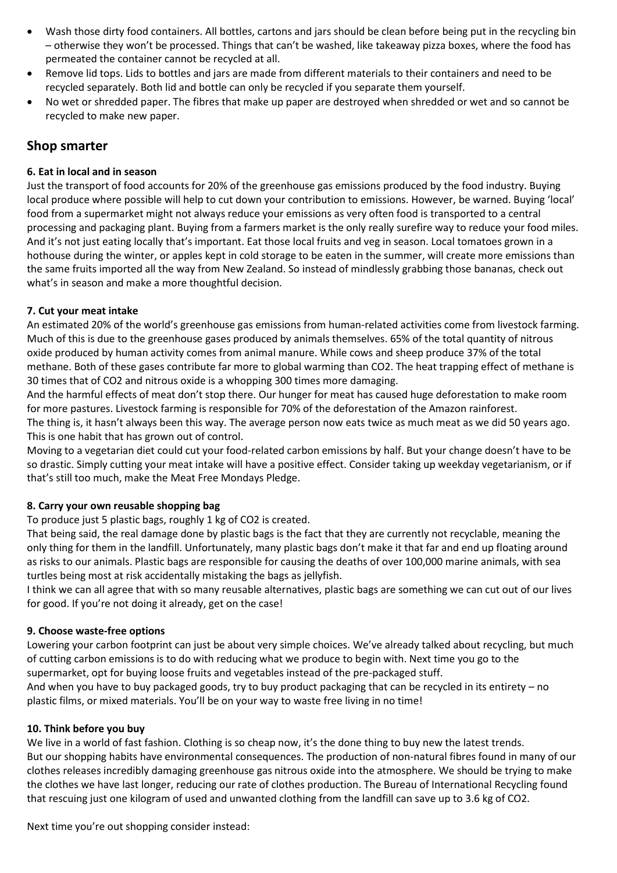- Wash those dirty food containers. All bottles, cartons and jars should be clean before being put in the recycling bin – otherwise they won't be processed. Things that can't be washed, like takeaway pizza boxes, where the food has permeated the container cannot be recycled at all.
- Remove lid tops. Lids to bottles and jars are made from different materials to their containers and need to be recycled separately. Both lid and bottle can only be recycled if you separate them yourself.
- No wet or shredded paper. The fibres that make up paper are destroyed when shredded or wet and so cannot be recycled to make new paper.

# **Shop smarter**

#### **6. Eat in local and in season**

Just the transport of food accounts for 20% of the greenhouse gas emissions produced by the food industry. Buying local produce where possible will help to cut down your contribution to emissions. However, be warned. Buying 'local' food from a supermarket might not always reduce your emissions as very often food is transported to a central processing and packaging plant. Buying from a farmers market is the only really surefire way to reduce your food miles. And it's not just eating locally that's important. Eat those local fruits and veg in season. Local tomatoes grown in a hothouse during the winter, or apples kept in cold storage to be eaten in the summer, will create more emissions than the same fruits imported all the way from New Zealand. So instead of mindlessly grabbing those bananas, [check out](http://www.bestinseason.ie/whats-in-season/)  [what's in season](http://www.bestinseason.ie/whats-in-season/) and make a more thoughtful decision.

### **7. Cut your meat intake**

An estimated 20% of the world's greenhouse gas emissions from human-related activities come from livestock farming. Much of this is due to the greenhouse gases produced by animals themselves. 65% of the total quantity of nitrous oxide produced by human activity comes from animal manure. While cows and sheep produce 37% of the total methane. Both of these gases contribute far more to global warming than CO2. The heat trapping effect of methane is 30 times that of CO2 and nitrous oxide is a whopping 300 times more damaging.

And the harmful effects of meat don't stop there. Our hunger for meat has caused huge deforestation to make room for more pastures. Livestock farming is responsible for 70% of the deforestation of the Amazon rainforest.

The thing is, it hasn't always been this way. The average person now eats twice as much meat as we did 50 years ago. This is one habit that has grown out of control.

Moving to a vegetarian diet could cut your food-related carbon emissions by half. But your change doesn't have to be so drastic. Simply cutting your meat intake will have a positive effect. Consider taking up weekday vegetarianism, or if that's still too much, make the [Meat Free Mondays Pledge.](https://www.meatfreemondays.com/)

#### **8. Carry your own reusable shopping bag**

To produce just 5 plastic bags, roughly 1 kg of CO2 is created.

That being said, the real damage done by plastic bags is the fact that they are currently not recyclable, meaning the only thing for them in the landfill. Unfortunately, many plastic bags don't make it that far and end up floating around as risks to our animals. Plastic bags are responsible for causing the deaths of over 100,000 marine animals, with sea turtles being most at risk accidentally mistaking the bags as jellyfish.

I think we can all agree that with so many reusable alternatives, plastic bags are something we can cut out of our lives for good. If you're not doing it already, get on the case!

#### **9. Choose waste-free options**

Lowering your carbon footprint can just be about very simple choices. We've already talked about recycling, but much of cutting carbon emissions is to do with reducing what we produce to begin with. Next time you go to the supermarket, opt for buying loose fruits and vegetables instead of the pre-packaged stuff.

And when you have to buy packaged goods, try to buy product packaging that can be recycled in its entirety – no plastic films, or mixed materials. You'll be on your way to waste free living in no time!

#### **10. Think before you buy**

We live in a world of fast fashion. Clothing is so cheap now, it's the done thing to buy new the latest trends. But our shopping habits have environmental consequences. The production of non-natural fibres found in many of our clothes releases incredibly damaging greenhouse gas nitrous oxide into the atmosphere. We should be trying to make the clothes we have last longer, reducing our rate of clothes production. The Bureau of International Recycling found that rescuing just one kilogram of used and unwanted clothing from the landfill can save up to 3.6 kg of CO2.

Next time you're out shopping consider instead: